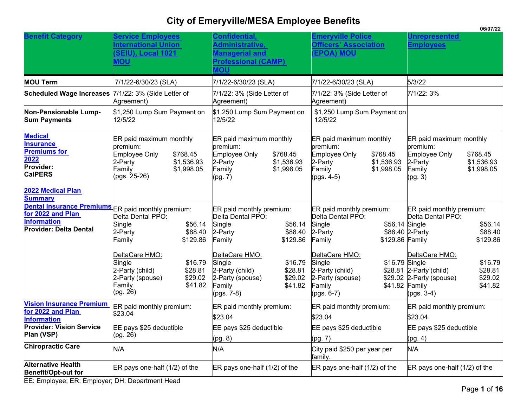|                                                                                                  |                                                                                                                                   |                                                                                                                                     |                                                                                                                                 | 00101122                                                                                                                        |
|--------------------------------------------------------------------------------------------------|-----------------------------------------------------------------------------------------------------------------------------------|-------------------------------------------------------------------------------------------------------------------------------------|---------------------------------------------------------------------------------------------------------------------------------|---------------------------------------------------------------------------------------------------------------------------------|
| <b>Benefit Category</b>                                                                          | <b>Service Employees</b><br><u>nternational Union</u>                                                                             | Confidential,<br><u>\dministrative,</u>                                                                                             | <b>Emeryville Police</b><br><b>Officers' Association</b>                                                                        | <b>Jnrepresented</b><br><u>Employees</u>                                                                                        |
|                                                                                                  | <b>SEIU), Local 1021</b>                                                                                                          | <u>Aanagerial and</u>                                                                                                               | <b>EPOA) MOU</b>                                                                                                                |                                                                                                                                 |
|                                                                                                  | <b>UON</b>                                                                                                                        | <b>Professional (CAMP)</b>                                                                                                          |                                                                                                                                 |                                                                                                                                 |
| <b>MOU Term</b>                                                                                  | 7/1/22-6/30/23 (SLA)                                                                                                              | 7/1/22-6/30/23 (SLA)                                                                                                                | 7/1/22-6/30/23 (SLA)                                                                                                            | 5/3/22                                                                                                                          |
| Scheduled Wage Increases 7/1/22: 3% (Side Letter of                                              | Agreement)                                                                                                                        | 7/1/22: 3% (Side Letter of<br>Agreement)                                                                                            | 7/1/22: 3% (Side Letter of<br>Agreement)                                                                                        | 7/1/22: 3%                                                                                                                      |
| Non-Pensionable Lump-<br><b>Sum Payments</b>                                                     | \$1,250 Lump Sum Payment on<br>12/5/22                                                                                            | \$1,250 Lump Sum Payment on<br>12/5/22                                                                                              | \$1,250 Lump Sum Payment on<br>12/5/22                                                                                          |                                                                                                                                 |
| <b>Medical</b><br><b>Insurance</b><br><b>Premiums for</b><br>2022<br>Provider:<br><b>CalPERS</b> | ER paid maximum monthly<br>premium:<br>\$768.45<br>Employee Only<br>2-Party<br>\$1,536.93<br>\$1,998.05<br>Family<br>(pgs. 25-26) | ER paid maximum monthly<br>premium:<br>Employee Only<br>\$768.45<br>2-Party<br>\$1,536.93<br>Family<br>\$1,998.05<br>(pg. 7)        | ER paid maximum monthly<br>premium:<br>\$768.45<br>Employee Only<br>2-Party<br>\$1,536.93<br>\$1,998.05<br>Family<br>(pgs. 4-5) | ER paid maximum monthly<br>premium:<br>Employee Only<br>\$768.45<br>2-Party<br>\$1,536.93<br>\$1,998.05<br>Family<br>(pg. 3)    |
| 2022 Medical Plan<br><b>Summary</b>                                                              |                                                                                                                                   |                                                                                                                                     |                                                                                                                                 |                                                                                                                                 |
| Dental Insurance Premiums ER paid monthly premium:<br>for 2022 and Plan                          | Delta Dental PPO:                                                                                                                 | ER paid monthly premium:<br>Delta Dental PPO:                                                                                       | ER paid monthly premium:<br>Delta Dental PPO:                                                                                   | ER paid monthly premium:<br>Delta Dental PPO:                                                                                   |
| <b>Information</b><br><b>Provider: Delta Dental</b>                                              | Single<br>\$56.14<br>2-Party<br>\$88.40                                                                                           | Single<br>\$56.14<br>2-Party<br>\$88.40                                                                                             | Single<br>\$56.14 Single<br>2-Party                                                                                             | \$56.14<br>\$88.40 2-Party<br>\$88.40                                                                                           |
|                                                                                                  | \$129.86<br>Family                                                                                                                | \$129.86<br>Family                                                                                                                  | \$129.86 Family<br>Family                                                                                                       | \$129.86                                                                                                                        |
|                                                                                                  | DeltaCare HMO:<br>\$16.79<br>Single<br>\$28.81<br>2-Party (child)<br>2-Party (spouse)<br>\$29.02<br>\$41.82<br>Family<br>(pg. 26) | DeltaCare HMO:<br>Single<br>\$16.79<br>2-Party (child)<br>\$28.81<br>2-Party (spouse)<br>\$29.02<br>Family<br>\$41.82<br>(pgs. 7-8) | DeltaCare HMO:<br>Single<br>\$16.79 Single<br>2-Party (child)<br>2-Party (spouse)<br>\$41.82 Family<br>Family<br>(pgs. 6-7)     | DeltaCare HMO:<br>\$16.79<br>\$28.81<br>\$28.81 2-Party (child)<br>\$29.02<br>\$29.02 2-Party (spouse)<br>\$41.82<br>(pgs. 3-4) |
| <b>Vision Insurance Premium</b><br>for 2022 and Plan                                             | ER paid monthly premium:                                                                                                          | ER paid monthly premium:                                                                                                            | ER paid monthly premium:                                                                                                        | ER paid monthly premium:                                                                                                        |
| <b>Information</b>                                                                               | \$23.04                                                                                                                           | \$23.04                                                                                                                             | \$23.04                                                                                                                         | \$23.04                                                                                                                         |
| <b>Provider: Vision Service</b><br>Plan (VSP)                                                    | EE pays \$25 deductible<br>(pg. 26)                                                                                               | EE pays \$25 deductible                                                                                                             | EE pays \$25 deductible                                                                                                         | EE pays \$25 deductible                                                                                                         |
| <b>Chiropractic Care</b>                                                                         |                                                                                                                                   | (pg. 8)                                                                                                                             | (pg. 7)                                                                                                                         | (pg. 4)                                                                                                                         |
|                                                                                                  | N/A                                                                                                                               | N/A                                                                                                                                 | City paid \$250 per year per<br>family.                                                                                         | N/A                                                                                                                             |
| <b>Alternative Health</b><br><b>Benefit/Opt-out for</b>                                          | ER pays one-half $(1/2)$ of the                                                                                                   | ER pays one-half (1/2) of the                                                                                                       | ER pays one-half $(1/2)$ of the                                                                                                 | ER pays one-half $(1/2)$ of the                                                                                                 |

EE: Employee; ER: Employer; DH: Department Head

**06/07/22**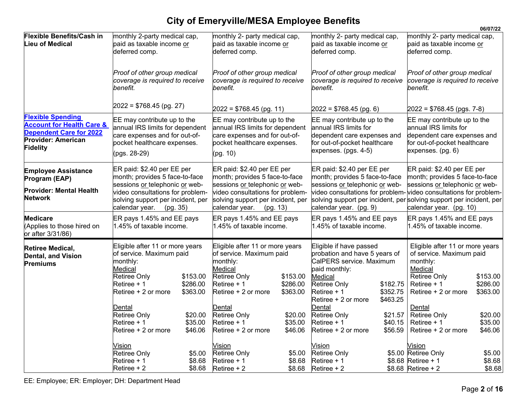|                                                                                                                                                    |                                                                                                                                                |                                  |                                                                                                                                                 |                                  |                                                                                                                                                                               |                                  |                                                                                                                                                                    | 06/07/22                         |
|----------------------------------------------------------------------------------------------------------------------------------------------------|------------------------------------------------------------------------------------------------------------------------------------------------|----------------------------------|-------------------------------------------------------------------------------------------------------------------------------------------------|----------------------------------|-------------------------------------------------------------------------------------------------------------------------------------------------------------------------------|----------------------------------|--------------------------------------------------------------------------------------------------------------------------------------------------------------------|----------------------------------|
| <b>Flexible Benefits/Cash in</b><br><b>Lieu of Medical</b>                                                                                         | monthly 2-party medical cap,<br>paid as taxable income or<br>deferred comp.                                                                    |                                  | monthly 2- party medical cap,<br>paid as taxable income or<br>deferred comp.                                                                    |                                  | monthly 2- party medical cap,<br>paid as taxable income or<br>deferred comp.                                                                                                  |                                  | monthly 2- party medical cap,<br>paid as taxable income or<br>deferred comp.                                                                                       |                                  |
|                                                                                                                                                    | Proof of other group medical<br>coverage is required to receive<br>benefit.                                                                    |                                  | Proof of other group medical<br>coverage is required to receive<br>benefit.                                                                     |                                  | Proof of other group medical<br>coverage is required to receive<br>benefit.                                                                                                   |                                  | Proof of other group medical<br>coverage is required to receive<br>benefit.                                                                                        |                                  |
|                                                                                                                                                    | $2022 = $768.45$ (pg. 27)                                                                                                                      |                                  | $2022 = $768.45$ (pg. 11)                                                                                                                       |                                  | $2022 = $768.45$ (pg. 6)                                                                                                                                                      |                                  | $2022 = $768.45$ (pgs. 7-8)                                                                                                                                        |                                  |
| <b>Flexible Spending</b><br><b>Account for Health Care &amp;</b><br><b>Dependent Care for 2022</b><br><b>Provider: American</b><br><b>Fidelity</b> | EE may contribute up to the<br>annual IRS limits for dependent<br>care expenses and for out-of-<br>pocket healthcare expenses.<br>(pgs. 28-29) |                                  | EE may contribute up to the<br>annual IRS limits for dependent<br>care expenses and for out-of-<br>pocket healthcare expenses.<br>(pg. 10)      |                                  | EE may contribute up to the<br>annual IRS limits for<br>dependent care expenses and<br>for out-of-pocket healthcare<br>expenses. (pgs. 4-5)                                   |                                  | EE may contribute up to the<br>annual IRS limits for<br>dependent care expenses and<br>for out-of-pocket healthcare<br>expenses. (pg. 6)                           |                                  |
| <b>Employee Assistance</b><br>Program (EAP)                                                                                                        | ER paid: \$2.40 per EE per<br>month; provides 5 face-to-face<br>sessions or telephonic or web-                                                 |                                  | ER paid: \$2.40 per EE per<br>month; provides 5 face-to-face<br>sessions or telephonic or web-                                                  |                                  | ER paid: \$2.40 per EE per<br>month; provides 5 face-to-face<br>sessions or telephonic or web-                                                                                |                                  | ER paid: \$2.40 per EE per<br>month; provides 5 face-to-face<br>sessions or telephonic or web-                                                                     |                                  |
| <b>Provider: Mental Health</b><br><b>Network</b>                                                                                                   | video consultations for problem-<br>solving support per incident, per<br>calendar year.<br>(pg. 35)                                            |                                  | video consultations for problem-<br>solving support per incident, per<br>calendar year.                                                         | (pq. 13)                         | calendar year. (pg. 9)                                                                                                                                                        |                                  | video consultations for problem-video consultations for problem-<br>solving support per incident, per solving support per incident, per<br>calendar year. (pg. 10) |                                  |
| <b>Medicare</b><br>(Applies to those hired on<br>or after 3/31/86)                                                                                 | ER pays 1.45% and EE pays<br>1.45% of taxable income.                                                                                          |                                  | ER pays 1.45% and EE pays<br>1.45% of taxable income.                                                                                           |                                  | ER pays 1.45% and EE pays<br>1.45% of taxable income.                                                                                                                         |                                  | ER pays 1.45% and EE pays<br>1.45% of taxable income.                                                                                                              |                                  |
| <b>Retiree Medical,</b><br>Dental, and Vision<br>Premiums                                                                                          | Eligible after 11 or more years<br>of service. Maximum paid<br>monthly:<br>Medical<br>Retiree Only<br>Retiree + 1<br>Retiree + 2 or more       | \$153.00<br>\$286.00<br>\$363.00 | Eligible after 11 or more years<br>of service. Maximum paid<br>monthly:<br>Medical<br><b>Retiree Only</b><br>Retiree + 1<br>Retiree + 2 or more | \$153.00<br>\$286.00<br>\$363.00 | Eligible if have passed<br>probation and have 5 years of<br>CalPERS service. Maximum<br>paid monthly:<br>Medical<br><b>Retiree Only</b><br>Retiree + 1<br>Retiree + 2 or more | \$182.75<br>\$352.75<br>\$463.25 | Eligible after 11 or more years<br>of service. Maximum paid<br>monthly:<br>Medical<br><b>Retiree Only</b><br>Retiree + 1<br>Retiree + 2 or more                    | \$153.00<br>\$286.00<br>\$363.00 |
|                                                                                                                                                    | Dental<br><b>Retiree Only</b><br>Retiree + 1<br>Retiree + 2 or more                                                                            | \$20.00<br>\$35.00<br>\$46.06    | Dental<br><b>Retiree Only</b><br>Retiree + 1<br>Retiree + 2 or more                                                                             | \$20.00<br>\$35.00<br>\$46.06    | Dental<br><b>Retiree Only</b><br>Retiree + 1<br>Retiree + 2 or more                                                                                                           | \$21.57<br>\$40.15<br>\$56.59    | Dental<br><b>Retiree Only</b><br>Retiree + 1<br>Retiree + 2 or more                                                                                                | \$20.00<br>\$35.00<br>\$46.06    |
|                                                                                                                                                    | Vision<br><b>Retiree Only</b><br>Retiree + 1<br>Retiree + 2                                                                                    | \$5.00<br>\$8.68<br>\$8.68       | Vision<br><b>Retiree Only</b><br>Retiree + 1<br>Retiree $+2$                                                                                    | \$5.00<br>\$8.68<br>\$8.68       | <b>Vision</b><br>Retiree Only<br>Retiree + 1<br>Retiree + 2                                                                                                                   |                                  | Vision<br>\$5.00 Retiree Only<br>\$8.68 Retiree + 1<br>$$8.68$ Retiree + 2                                                                                         | \$5.00<br>\$8.68<br>\$8.68       |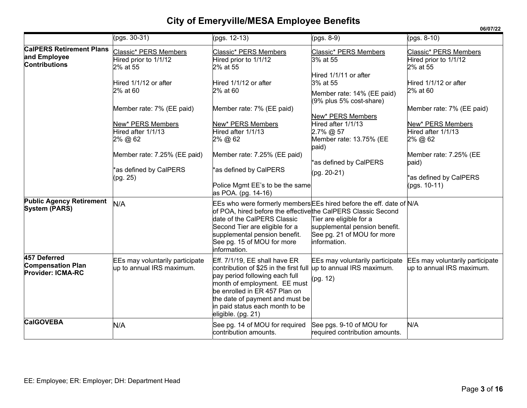|                                                                         |                                                              |                                                                                                                                                                                                                                                                                                       |                                                                                                        | 06/07/22                                                     |
|-------------------------------------------------------------------------|--------------------------------------------------------------|-------------------------------------------------------------------------------------------------------------------------------------------------------------------------------------------------------------------------------------------------------------------------------------------------------|--------------------------------------------------------------------------------------------------------|--------------------------------------------------------------|
|                                                                         | $(pgs. 30-31)$                                               | $(pgs. 12-13)$                                                                                                                                                                                                                                                                                        | $(pgs. 8-9)$                                                                                           | $(pgs. 8-10)$                                                |
| <b>CalPERS Retirement Plans</b><br>and Employee<br><b>Contributions</b> | Classic* PERS Members<br>Hired prior to 1/1/12<br>2% at 55   | Classic* PERS Members<br>Hired prior to 1/1/12<br>2% at 55                                                                                                                                                                                                                                            | Classic* PERS Members<br>3% at 55                                                                      | Classic* PERS Members<br>Hired prior to 1/1/12<br>2% at 55   |
|                                                                         | Hired 1/1/12 or after<br>2% at 60                            | Hired 1/1/12 or after<br>2% at 60                                                                                                                                                                                                                                                                     | Hired 1/1/11 or after<br>3% at 55<br>Member rate: 14% (EE paid)<br>(9% plus 5% cost-share)             | Hired 1/1/12 or after<br>2% at 60                            |
|                                                                         | Member rate: 7% (EE paid)                                    | Member rate: 7% (EE paid)                                                                                                                                                                                                                                                                             |                                                                                                        | Member rate: 7% (EE paid)                                    |
|                                                                         | New* PERS Members<br>Hired after 1/1/13<br>2% @ 62           | New* PERS Members<br>Hired after 1/1/13<br>2% @ 62                                                                                                                                                                                                                                                    | New* PERS Members<br>Hired after 1/1/13<br>$2.7\%$ @ 57<br>Member rate: 13.75% (EE<br>paid)            | New* PERS Members<br>Hired after 1/1/13<br>2% @ 62           |
|                                                                         | Member rate: 7.25% (EE paid)                                 | Member rate: 7.25% (EE paid)                                                                                                                                                                                                                                                                          | *as defined by CalPERS                                                                                 | Member rate: 7.25% (EE<br>paid)                              |
|                                                                         | *as defined by CalPERS<br>(pg. 25)                           | *as defined by CalPERS<br>Police Mgmt EE's to be the same<br>as POA. (pg. 14-16)                                                                                                                                                                                                                      | $(pg. 20-21)$                                                                                          | as defined by CalPERS<br>(pgs. 10-11)                        |
| <b>Public Agency Retirement</b><br><b>System (PARS)</b>                 | N/A                                                          | EEs who were formerly members EEs hired before the eff. date of N/A<br>of POA, hired before the effective the CalPERS Classic Second<br>date of the CalPERS Classic<br>Second Tier are eligible for a<br>supplemental pension benefit.<br>See pg. 15 of MOU for more<br>information.                  | Tier are eligible for a<br>supplemental pension benefit.<br>See pg. 21 of MOU for more<br>information. |                                                              |
| 457 Deferred<br><b>Compensation Plan</b><br><b>Provider: ICMA-RC</b>    | EEs may voluntarily participate<br>up to annual IRS maximum. | Eff. 7/1/19, EE shall have ER<br>contribution of \$25 in the first full $\mu$ p to annual IRS maximum.<br>pay period following each full<br>month of employment. EE must<br>be enrolled in ER 457 Plan on<br>the date of payment and must be<br>in paid status each month to be<br>eligible. (pg. 21) | EEs may voluntarily participate<br>(pg. 12)                                                            | EEs may voluntarily participate<br>up to annual IRS maximum. |
| <b>CalGOVEBA</b>                                                        | N/A                                                          | See pg. 14 of MOU for required<br>contribution amounts.                                                                                                                                                                                                                                               | See pgs. 9-10 of MOU for<br>required contribution amounts.                                             | N/A                                                          |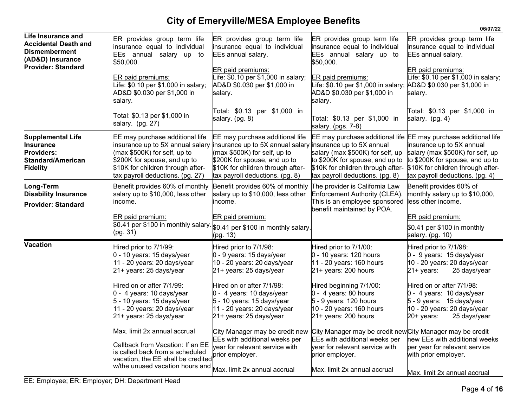|                                                                                                                            |                                                                                                                                                                                                              |                                                                                                                                                                                                                                       |                                                                                                                                                                                                                | 06/07/22                                                                                                                                                                 |
|----------------------------------------------------------------------------------------------------------------------------|--------------------------------------------------------------------------------------------------------------------------------------------------------------------------------------------------------------|---------------------------------------------------------------------------------------------------------------------------------------------------------------------------------------------------------------------------------------|----------------------------------------------------------------------------------------------------------------------------------------------------------------------------------------------------------------|--------------------------------------------------------------------------------------------------------------------------------------------------------------------------|
| Life Insurance and<br><b>Accidental Death and</b><br><b>Dismemberment</b><br>(AD&D) Insurance<br><b>Provider: Standard</b> | ER provides group term life<br>insurance equal to individual<br>EEs annual salary up to<br>\$50,000.<br>ER paid premiums:<br>ife: \$0.10 per \$1,000 in salary;                                              | ER provides group term life<br>insurance equal to individual<br>EEs annual salary.<br>ER paid premiums:<br>tfe: \$0.10 per \$1,000 in salary;<br>AD&D \$0.030 per \$1,000 in                                                          | ER provides group term life<br>insurance equal to individual<br>EEs annual salary up to<br>\$50,000.<br>ER paid premiums:                                                                                      | ER provides group term life<br>insurance equal to individual<br>EEs annual salary.<br>ER paid premiums:<br>Life: \$0.10 per \$1,000 in salary;                           |
|                                                                                                                            | AD&D \$0.030 per \$1,000 in<br>salary.<br>Total: \$0.13 per \$1,000 in<br>salary. (pg. 27)                                                                                                                   | salary.<br>Total: \$0.13 per \$1,000 in<br>salary. (pg. 8)                                                                                                                                                                            | AD&D \$0.030 per \$1,000 in<br>salary.<br>Total: \$0.13 per \$1,000 in<br>salary. (pgs. 7-8)                                                                                                                   | salary.<br>Total: \$0.13 per \$1,000 in<br>salary. (pg. 4)                                                                                                               |
| <b>Supplemental Life</b><br><b>Insurance</b><br><b>Providers:</b><br>Standard/American<br>Fidelity                         | EE may purchase additional life<br>insurance up to 5X annual salary<br>(max \$500K) for self, up to<br>\$200K for spouse, and up to<br>\$10K for children through after-<br>tax payroll deductions. (pg. 27) | EE may purchase additional life<br>insurance up to 5X annual salary insurance up to 5X annual<br>(max \$500K) for self, up to<br>\$200K for spouse, and up to<br>\$10K for children through after-<br>tax payroll deductions. (pg. 8) | EE may purchase additional life EE may purchase additional life<br>salary (max \$500K) for self, up<br>to \$200K for spouse, and up to<br>\$10K for children through after-<br>tax payroll deductions. (pg. 8) | insurance up to 5X annual<br>salary (max \$500K) for self, up<br>to \$200K for spouse, and up to<br>\$10K for children through after-<br>tax payroll deductions. (pg. 4) |
| Long-Term<br><b>Disability Insurance</b><br><b>Provider: Standard</b>                                                      | Benefit provides 60% of monthly<br>salary up to \$10,000, less other<br>income.                                                                                                                              | Benefit provides 60% of monthly The provider is California Law<br>salary up to \$10,000, less other<br>income.                                                                                                                        | Enforcement Authority (CLEA).<br>This is an employee sponsored<br>benefit maintained by POA.                                                                                                                   | Benefit provides 60% of<br>monthly salary up to \$10,000,<br>less other income.                                                                                          |
|                                                                                                                            | ER paid premium:<br>so.41 per \$100 in monthly salary. $ _{\$0.41}$ per \$100 in monthly salary.<br>(pg. 31)                                                                                                 | ER paid premium:<br>(pg. 13)                                                                                                                                                                                                          |                                                                                                                                                                                                                | ER paid premium:<br>\$0.41 per \$100 in monthly<br>salary. (pg. 10)                                                                                                      |
| <b>Vacation</b>                                                                                                            | Hired prior to 7/1/99:<br>0 - 10 years: 15 days/year<br>11 - 20 years: 20 days/year<br>21+ years: 25 days/year                                                                                               | Hired prior to 7/1/98:<br>0 - 9 years: 15 days/year<br>10 - 20 years: 20 days/year<br>21+ years: 25 days/year                                                                                                                         | Hired prior to 7/1/00:<br>$0 - 10$ years: 120 hours<br>11 - 20 years: 160 hours<br>21+ years: 200 hours                                                                                                        | Hired prior to 7/1/98:<br>$0 - 9$ years: 15 days/year<br>10 - 20 years: 20 days/year<br>$21 + \text{years}$<br>25 days/year                                              |
|                                                                                                                            | Hired on or after 7/1/99:<br>0 - 4 years: 10 days/year<br>5 - 10 years: 15 days/year<br>11 - 20 years: 20 days/year<br>21+ years: 25 days/year                                                               | Hired on or after 7/1/98:<br>0 - 4 years: 10 days/year<br>$5 - 10$ years: 15 days/year<br>11 - 20 years: 20 days/year<br>21+ years: 25 days/year                                                                                      | Hired beginning 7/1/00:<br>0 - 4 years: 80 hours<br>5 - 9 years: 120 hours<br>10 - 20 years: 160 hours<br>21+ years: 200 hours                                                                                 | Hired on or after 7/1/98:<br>$0 - 4$ years: 10 days/year<br>5 - 9 years: 15 days/year<br>10 - 20 years: 20 days/year<br>$20+$ years:<br>25 days/year                     |
|                                                                                                                            | Max. limit 2x annual accrual<br>Callback from Vacation: If an EE<br>is called back from a scheduled<br>vacation, the EE shall be credited<br>w/the unused vacation hours and                                 | City Manager may be credit new<br>EEs with additional weeks per<br>year for relevant service with<br>prior employer.                                                                                                                  | City Manager may be credit new City Manager may be credit<br>EEs with additional weeks per<br>year for relevant service with<br>prior employer.                                                                | new EEs with additional weeks<br>per year for relevant service<br>with prior employer.                                                                                   |
|                                                                                                                            |                                                                                                                                                                                                              | Max. limit 2x annual accrual                                                                                                                                                                                                          | Max. limit 2x annual accrual                                                                                                                                                                                   | Max. limit 2x annual accrual                                                                                                                                             |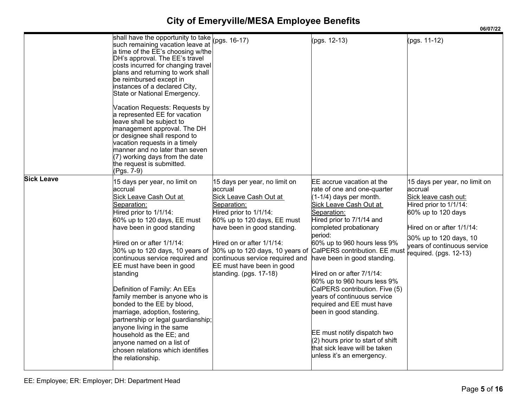|                   | shall have the opportunity to take<br>such remaining vacation leave at<br>a time of the EE's choosing w/the<br>DH's approval. The EE's travel                                                                                                                                                                                                                                                                                                                                                                                                                                                                                                                                                              | (pgs. 16-17)                                                                                                                                                                                                                                                                                     | (pgs. 12-13)                                                                                                                                                                                                                                                                                                                                                                                                                                                                                                                                                                         | (pgs. 11-12)                                                                                                                                                                                                                     |
|-------------------|------------------------------------------------------------------------------------------------------------------------------------------------------------------------------------------------------------------------------------------------------------------------------------------------------------------------------------------------------------------------------------------------------------------------------------------------------------------------------------------------------------------------------------------------------------------------------------------------------------------------------------------------------------------------------------------------------------|--------------------------------------------------------------------------------------------------------------------------------------------------------------------------------------------------------------------------------------------------------------------------------------------------|--------------------------------------------------------------------------------------------------------------------------------------------------------------------------------------------------------------------------------------------------------------------------------------------------------------------------------------------------------------------------------------------------------------------------------------------------------------------------------------------------------------------------------------------------------------------------------------|----------------------------------------------------------------------------------------------------------------------------------------------------------------------------------------------------------------------------------|
|                   | costs incurred for changing travel<br>plans and returning to work shall<br>be reimbursed except in<br>instances of a declared City,<br>State or National Emergency.                                                                                                                                                                                                                                                                                                                                                                                                                                                                                                                                        |                                                                                                                                                                                                                                                                                                  |                                                                                                                                                                                                                                                                                                                                                                                                                                                                                                                                                                                      |                                                                                                                                                                                                                                  |
|                   | Vacation Requests: Requests by<br>a represented EE for vacation<br>leave shall be subject to<br>management approval. The DH<br>or designee shall respond to<br>vacation requests in a timely<br>manner and no later than seven<br>(7) working days from the date<br>the request is submitted.<br>(Pgs. 7-9)                                                                                                                                                                                                                                                                                                                                                                                                |                                                                                                                                                                                                                                                                                                  |                                                                                                                                                                                                                                                                                                                                                                                                                                                                                                                                                                                      |                                                                                                                                                                                                                                  |
| <b>Sick Leave</b> | 15 days per year, no limit on<br>accrual<br>Sick Leave Cash Out at<br>Separation:<br>Hired prior to 1/1/14:<br>60% up to 120 days, EE must<br>have been in good standing<br>Hired on or after 1/1/14:<br>30% up to 120 days, 10 years of 30% up to 120 days, 10 years of CalPERS contribution. EE must<br>continuous service required and<br>EE must have been in good<br>standing<br>Definition of Family: An EEs<br>family member is anyone who is<br>bonded to the EE by blood,<br>marriage, adoption, fostering,<br>partnership or legal guardianship;<br>anyone living in the same<br>household as the EE; and<br>anyone named on a list of<br>chosen relations which identifies<br>the relationship. | 15 days per year, no limit on<br>accrual<br>Sick Leave Cash Out at<br>Separation:<br>Hired prior to 1/1/14:<br>60% up to 120 days, EE must<br>have been in good standing.<br>Hired on or after 1/1/14:<br>continuous service required and<br>EE must have been in good<br>standing. (pgs. 17-18) | EE accrue vacation at the<br>rate of one and one-quarter<br>(1-1/4) days per month.<br>Sick Leave Cash Out at<br>Separation:<br>Hired prior to 7/1/14 and<br>completed probationary<br>beriod:<br>60% up to 960 hours less 9%<br>have been in good standing.<br>Hired on or after 7/1/14:<br>60% up to 960 hours less 9%<br>CalPERS contribution. Five (5)<br>years of continuous service<br>required and EE must have<br>been in good standing.<br>EE must notify dispatch two<br>$(2)$ hours prior to start of shift<br>that sick leave will be taken<br>unless it's an emergency. | 15 days per year, no limit on<br>accrual<br>Sick leave cash out:<br>Hired prior to 1/1/14:<br>60% up to 120 days<br>Hired on or after 1/1/14:<br>30% up to 120 days, 10<br>vears of continuous service<br>required. (pgs. 12-13) |

**06/07/22**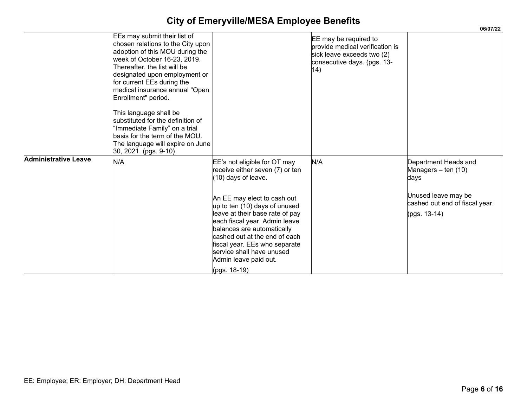|                             |                                                                                                                                                                                                                                                                                                                                                                                                                                                                                             |                                                                                                                                                                                                                                                                                                                                                                                                |                                                                                                                              | 06/07/22                                                                                                                     |
|-----------------------------|---------------------------------------------------------------------------------------------------------------------------------------------------------------------------------------------------------------------------------------------------------------------------------------------------------------------------------------------------------------------------------------------------------------------------------------------------------------------------------------------|------------------------------------------------------------------------------------------------------------------------------------------------------------------------------------------------------------------------------------------------------------------------------------------------------------------------------------------------------------------------------------------------|------------------------------------------------------------------------------------------------------------------------------|------------------------------------------------------------------------------------------------------------------------------|
|                             | EEs may submit their list of<br>chosen relations to the City upon<br>adoption of this MOU during the<br>week of October 16-23, 2019.<br>Thereafter, the list will be<br>designated upon employment or<br>for current EEs during the<br>medical insurance annual "Open<br>Enrollment" period.<br>This language shall be<br>substituted for the definition of<br>'Immediate Family" on a trial<br>basis for the term of the MOU.<br>The language will expire on June<br>30, 2021. (pgs. 9-10) |                                                                                                                                                                                                                                                                                                                                                                                                | EE may be required to<br>provide medical verification is<br>sick leave exceeds two (2)<br>consecutive days. (pgs. 13-<br>14) |                                                                                                                              |
| <b>Administrative Leave</b> | N/A                                                                                                                                                                                                                                                                                                                                                                                                                                                                                         | EE's not eligible for OT may<br>eceive either seven (7) or ten<br>10) days of leave.<br>An EE may elect to cash out<br>up to ten (10) days of unused<br>leave at their base rate of pay<br>each fiscal year. Admin leave<br>balances are automatically<br>cashed out at the end of each<br>fiscal year. EEs who separate<br>service shall have unused<br>Admin leave paid out.<br>(pgs. 18-19) | N/A                                                                                                                          | Department Heads and<br>Managers - ten (10)<br>days<br>Unused leave may be<br>cashed out end of fiscal year.<br>(pgs. 13-14) |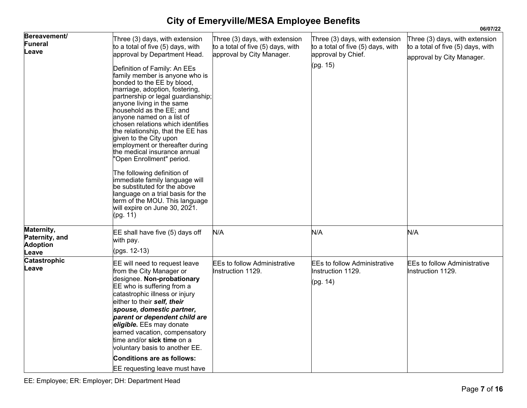|                                                          |                                                                                                                                                                                                                                                                                                                                                                                                                                                                                                                                                                                                                                                                                                                                                                                            |                                                                                                  |                                                                                                       | 06/07/22                                                                                         |
|----------------------------------------------------------|--------------------------------------------------------------------------------------------------------------------------------------------------------------------------------------------------------------------------------------------------------------------------------------------------------------------------------------------------------------------------------------------------------------------------------------------------------------------------------------------------------------------------------------------------------------------------------------------------------------------------------------------------------------------------------------------------------------------------------------------------------------------------------------------|--------------------------------------------------------------------------------------------------|-------------------------------------------------------------------------------------------------------|--------------------------------------------------------------------------------------------------|
| <b>Bereavement/</b><br><b>Funeral</b><br>Leave           | Three (3) days, with extension<br>to a total of five (5) days, with<br>approval by Department Head.<br>Definition of Family: An EEs<br>family member is anyone who is<br>bonded to the EE by blood,<br>marriage, adoption, fostering,<br>partnership or legal guardianship;<br>anyone living in the same<br>household as the EE: and<br>anyone named on a list of<br>chosen relations which identifies<br>the relationship, that the EE has<br>given to the City upon<br>employment or thereafter during<br>the medical insurance annual<br>"Open Enrollment" period.<br>The following definition of<br>immediate family language will<br>be substituted for the above<br>language on a trial basis for the<br>term of the MOU. This language<br>will expire on June 30, 2021.<br>(pg. 11) | Three (3) days, with extension<br>to a total of five (5) days, with<br>approval by City Manager. | Three (3) days, with extension<br>to a total of five (5) days, with<br>approval by Chief.<br>(pg. 15) | Three (3) days, with extension<br>to a total of five (5) days, with<br>approval by City Manager. |
| Maternity,<br>Paternity, and<br><b>Adoption</b><br>Leave | EE shall have five (5) days off<br>with pay.<br>(pgs. 12-13)                                                                                                                                                                                                                                                                                                                                                                                                                                                                                                                                                                                                                                                                                                                               | N/A                                                                                              | N/A                                                                                                   | N/A                                                                                              |
| <b>Catastrophic</b><br>Leave                             | EE will need to request leave<br>from the City Manager or<br>designee. Non-probationary<br>EE who is suffering from a<br>catastrophic illness or injury<br>either to their self, their<br>spouse, domestic partner,<br>parent or dependent child are<br>eligible. EEs may donate<br>earned vacation, compensatory<br>ltime and/or <b>sick time</b> on a<br>voluntary basis to another EE.<br><b>Conditions are as follows:</b><br>EE requesting leave must have                                                                                                                                                                                                                                                                                                                            | <b>EEs to follow Administrative</b><br>Instruction 1129.                                         | <b>EEs to follow Administrative</b><br>Instruction 1129.<br>(pg. 14)                                  | <b>EEs to follow Administrative</b><br>Instruction 1129.                                         |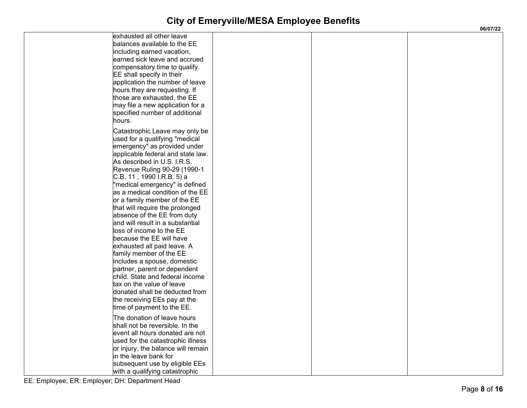| exhausted all other leave<br>balances available to the EE<br>including earned vacation,<br>earned sick leave and accrued<br>compensatory time to qualify.<br>EE shall specify in their<br>application the number of leave<br>hours they are requesting. If<br>those are exhausted, the EE<br>may file a new application for a<br>specified number of additional<br>hours.                                                                                                                                                                                                                                                                                                                                                                                                                       |  |  |
|-------------------------------------------------------------------------------------------------------------------------------------------------------------------------------------------------------------------------------------------------------------------------------------------------------------------------------------------------------------------------------------------------------------------------------------------------------------------------------------------------------------------------------------------------------------------------------------------------------------------------------------------------------------------------------------------------------------------------------------------------------------------------------------------------|--|--|
| Catastrophic Leave may only be<br>used for a qualifying "medical<br>emergency" as provided under<br>applicable federal and state law.<br>As described in U.S. I.R.S.<br>Revenue Ruling 90-29 (1990-1<br>C.B. 11 , 1990 I.R.B. 5) a<br>"medical emergency" is defined<br>as a medical condition of the EE<br>or a family member of the EE<br>that will require the prolonged<br>absence of the EE from duty<br>and will result in a substantial<br>loss of income to the EE<br>because the EE will have<br>exhausted all paid leave. A<br>family member of the EE<br>includes a spouse, domestic<br>partner, parent or dependent<br>child. State and federal income<br>tax on the value of leave<br>donated shall be deducted from<br>the receiving EEs pay at the<br>time of payment to the EE. |  |  |
| The donation of leave hours<br>shall not be reversible. In the<br>event all hours donated are not<br>used for the catastrophic illness<br>or injury, the balance will remain<br>in the leave bank for<br>subsequent use by eligible EEs<br>with a qualifying catastrophic                                                                                                                                                                                                                                                                                                                                                                                                                                                                                                                       |  |  |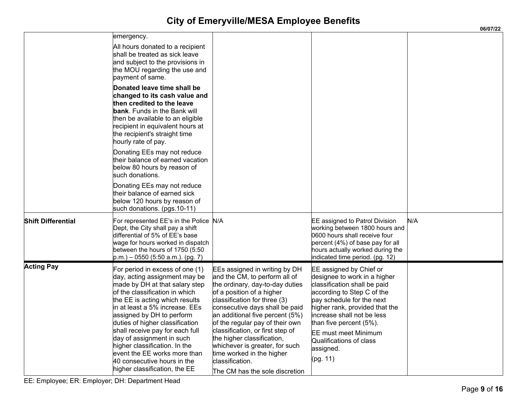|                           |                                                                                                                                                                                                                                                                                                                                                                                                                                                                           |                                                                                                                                                                                                                                                                                                                                                                                                                                                              |                                                                                                                                                                                                                                                                                                                                 | 06/07/22 |
|---------------------------|---------------------------------------------------------------------------------------------------------------------------------------------------------------------------------------------------------------------------------------------------------------------------------------------------------------------------------------------------------------------------------------------------------------------------------------------------------------------------|--------------------------------------------------------------------------------------------------------------------------------------------------------------------------------------------------------------------------------------------------------------------------------------------------------------------------------------------------------------------------------------------------------------------------------------------------------------|---------------------------------------------------------------------------------------------------------------------------------------------------------------------------------------------------------------------------------------------------------------------------------------------------------------------------------|----------|
|                           | emergency.<br>All hours donated to a recipient<br>shall be treated as sick leave<br>and subject to the provisions in<br>the MOU regarding the use and<br>payment of same.                                                                                                                                                                                                                                                                                                 |                                                                                                                                                                                                                                                                                                                                                                                                                                                              |                                                                                                                                                                                                                                                                                                                                 |          |
|                           | Donated leave time shall be<br>changed to its cash value and<br>then credited to the leave<br><b>bank</b> . Funds in the Bank will<br>then be available to an eligible<br>recipient in equivalent hours at<br>the recipient's straight time<br>hourly rate of pay.                                                                                                                                                                                                        |                                                                                                                                                                                                                                                                                                                                                                                                                                                              |                                                                                                                                                                                                                                                                                                                                 |          |
|                           | Donating EEs may not reduce<br>their balance of earned vacation<br>below 80 hours by reason of<br>such donations.                                                                                                                                                                                                                                                                                                                                                         |                                                                                                                                                                                                                                                                                                                                                                                                                                                              |                                                                                                                                                                                                                                                                                                                                 |          |
|                           | Donating EEs may not reduce<br>their balance of earned sick<br>below 120 hours by reason of<br>such donations. (pgs.10-11)                                                                                                                                                                                                                                                                                                                                                |                                                                                                                                                                                                                                                                                                                                                                                                                                                              |                                                                                                                                                                                                                                                                                                                                 |          |
| <b>Shift Differential</b> | For represented EE's in the Police N/A<br>Dept, the City shall pay a shift<br>differential of 5% of EE's base<br>wage for hours worked in dispatch<br>between the hours of 1750 (5:50<br>$p.m.$ ) – 0550 (5:50 a.m.). (pg. 7)                                                                                                                                                                                                                                             |                                                                                                                                                                                                                                                                                                                                                                                                                                                              | EE assigned to Patrol Division<br>working between 1800 hours and<br>0600 hours shall receive four<br>percent (4%) of base pay for all<br>hours actually worked during the<br>indicated time period. (pg. 12)                                                                                                                    | N/A      |
| <b>Acting Pay</b>         | For period in excess of one (1)<br>day, acting assignment may be<br>made by DH at that salary step<br>of the classification in which<br>the EE is acting which results<br>in at least a 5% increase. EEs<br>assigned by DH to perform<br>duties of higher classification<br>shall receive pay for each full<br>day of assignment in such<br>higher classification. In the<br>event the EE works more than<br>40 consecutive hours in the<br>higher classification, the EE | EEs assigned in writing by DH<br>and the CM, to perform all of<br>the ordinary, day-to-day duties<br>of a position of a higher<br>classification for three (3)<br>consecutive days shall be paid<br>an additional five percent (5%)<br>of the regular pay of their own<br>classification, or first step of<br>the higher classification,<br>whichever is greater, for such<br>time worked in the higher<br>classification.<br>The CM has the sole discretion | EE assigned by Chief or<br>designee to work in a higher<br>classification shall be paid<br>according to Step C of the<br>pay schedule for the next<br>higher rank, provided that the<br>increase shall not be less<br>than five percent (5%)<br><b>EE</b> must meet Minimum<br>Qualifications of class<br>assigned.<br>(pg. 11) |          |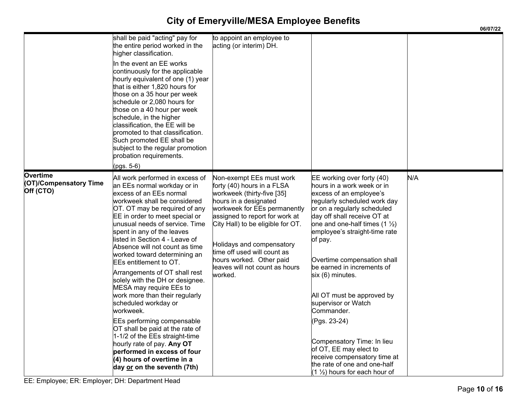|                                                        |                                                                                                                                                                                                                                                                                                                                                                                                                                                                                                                                                                                                                                                                                                                                                                                                        |                                                                                                                                                                                                                                                                                                                                                           |                                                                                                                                                                                                                                                                                                                                                                                                                                                                                                                                                                                                                   | 06/07/22 |
|--------------------------------------------------------|--------------------------------------------------------------------------------------------------------------------------------------------------------------------------------------------------------------------------------------------------------------------------------------------------------------------------------------------------------------------------------------------------------------------------------------------------------------------------------------------------------------------------------------------------------------------------------------------------------------------------------------------------------------------------------------------------------------------------------------------------------------------------------------------------------|-----------------------------------------------------------------------------------------------------------------------------------------------------------------------------------------------------------------------------------------------------------------------------------------------------------------------------------------------------------|-------------------------------------------------------------------------------------------------------------------------------------------------------------------------------------------------------------------------------------------------------------------------------------------------------------------------------------------------------------------------------------------------------------------------------------------------------------------------------------------------------------------------------------------------------------------------------------------------------------------|----------|
|                                                        | shall be paid "acting" pay for<br>the entire period worked in the<br>higher classification.<br>In the event an EE works<br>continuously for the applicable<br>hourly equivalent of one (1) year<br>that is either 1,820 hours for<br>those on a 35 hour per week<br>schedule or 2,080 hours for<br>those on a 40 hour per week<br>schedule, in the higher<br>classification, the EE will be<br>promoted to that classification.<br>Such promoted EE shall be<br>subject to the regular promotion<br>probation requirements.<br>(pgs. 5-6)                                                                                                                                                                                                                                                              | to appoint an employee to<br>acting (or interim) DH.                                                                                                                                                                                                                                                                                                      |                                                                                                                                                                                                                                                                                                                                                                                                                                                                                                                                                                                                                   |          |
| <b>Overtime</b><br>(OT)/Compensatory Time<br>Off (CTO) | All work performed in excess of<br>an EEs normal workday or in<br>excess of an EEs normal<br>workweek shall be considered<br>OT. OT may be required of any<br>EE in order to meet special or<br>unusual needs of service. Time<br>spent in any of the leaves<br>listed in Section 4 - Leave of<br>Absence will not count as time<br>worked toward determining an<br>EEs entitlement to OT.<br>Arrangements of OT shall rest<br>solely with the DH or designee.<br>MESA may require EEs to<br>work more than their regularly<br>scheduled workday or<br>workweek.<br><b>EEs performing compensable</b><br>OT shall be paid at the rate of<br>1-1/2 of the EEs straight-time<br>hourly rate of pay. Any OT<br>performed in excess of four<br>$(4)$ hours of overtime in a<br>day or on the seventh (7th) | Non-exempt EEs must work<br>forty (40) hours in a FLSA<br>workweek (thirty-five [35]<br>hours in a designated<br>workweek for EEs permanently<br>assigned to report for work at<br>City Hall) to be eligible for OT.<br>Holidays and compensatory<br>time off used will count as<br>hours worked. Other paid<br>leaves will not count as hours<br>worked. | EE working over forty (40)<br>hours in a work week or in<br>excess of an employee's<br>regularly scheduled work day<br>or on a regularly scheduled<br>day off shall receive OT at<br>one and one-half times $(1 \frac{1}{2})$<br>employee's straight-time rate<br>of pay.<br>Overtime compensation shall<br>be earned in increments of<br>six (6) minutes.<br>All OT must be approved by<br>supervisor or Watch<br>Commander.<br>(Pgs. 23-24)<br>Compensatory Time: In lieu<br>of OT, EE may elect to<br>receive compensatory time at<br>the rate of one and one-half<br>$(1 \frac{1}{2})$ hours for each hour of | N/A      |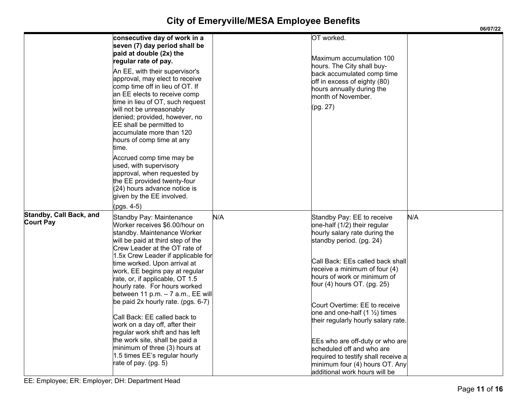|                                                    |                                                                                                                                                                                                                                                                                                                                                                                                                                                                                                                                                                                                 |     |                                                                                                                                                                                                                                                                                                                                                                                                                                                 | 06/07/22 |
|----------------------------------------------------|-------------------------------------------------------------------------------------------------------------------------------------------------------------------------------------------------------------------------------------------------------------------------------------------------------------------------------------------------------------------------------------------------------------------------------------------------------------------------------------------------------------------------------------------------------------------------------------------------|-----|-------------------------------------------------------------------------------------------------------------------------------------------------------------------------------------------------------------------------------------------------------------------------------------------------------------------------------------------------------------------------------------------------------------------------------------------------|----------|
|                                                    | consecutive day of work in a<br>seven (7) day period shall be<br>paid at double (2x) the<br>regular rate of pay.<br>An EE, with their supervisor's<br>approval, may elect to receive<br>comp time off in lieu of OT. If<br>an EE elects to receive comp<br>time in lieu of OT, such request                                                                                                                                                                                                                                                                                                     |     | OT worked.<br>Maximum accumulation 100<br>hours. The City shall buy-<br>back accumulated comp time<br>off in excess of eighty (80)<br>hours annually during the<br>month of November.                                                                                                                                                                                                                                                           |          |
|                                                    | will not be unreasonably<br>denied; provided, however, no<br>EE shall be permitted to<br>accumulate more than 120<br>hours of comp time at any<br>time.                                                                                                                                                                                                                                                                                                                                                                                                                                         |     | (pg. 27)                                                                                                                                                                                                                                                                                                                                                                                                                                        |          |
|                                                    | Accrued comp time may be<br>used, with supervisory<br>approval, when requested by<br>the EE provided twenty-four<br>(24) hours advance notice is<br>given by the EE involved.<br>(pgs. 4-5)                                                                                                                                                                                                                                                                                                                                                                                                     |     |                                                                                                                                                                                                                                                                                                                                                                                                                                                 |          |
| <b>Standby, Call Back, and</b><br><b>Court Pay</b> | Standby Pay: Maintenance<br>Worker receives \$6.00/hour on<br>standby. Maintenance Worker<br>will be paid at third step of the<br>Crew Leader at the OT rate of<br>1.5x Crew Leader if applicable for<br>time worked. Upon arrival at<br>work, EE begins pay at regular<br>rate, or, if applicable, OT 1.5<br>hourly rate. For hours worked<br>between 11 p.m. $-7$ a.m., EE will<br>be paid 2x hourly rate. (pgs. 6-7)<br>Call Back: EE called back to<br>work on a day off, after their<br>regular work shift and has left<br>the work site, shall be paid a<br>minimum of three (3) hours at | N/A | Standby Pay: EE to receive<br>one-half (1/2) their regular<br>hourly salary rate during the<br>standby period. (pg. 24)<br>Call Back: EEs called back shall<br>receive a minimum of four (4)<br>hours of work or minimum of<br>four (4) hours OT. (pg. 25)<br>Court Overtime: EE to receive<br>one and one-half (1 $\frac{1}{2}$ ) times<br>their regularly hourly salary rate.<br>EEs who are off-duty or who are<br>scheduled off and who are | N/A      |
|                                                    | 1.5 times EE's regular hourly<br>rate of pay. (pg. 5)                                                                                                                                                                                                                                                                                                                                                                                                                                                                                                                                           |     | required to testify shall receive a<br>minimum four (4) hours OT. Any<br>additional work hours will be                                                                                                                                                                                                                                                                                                                                          |          |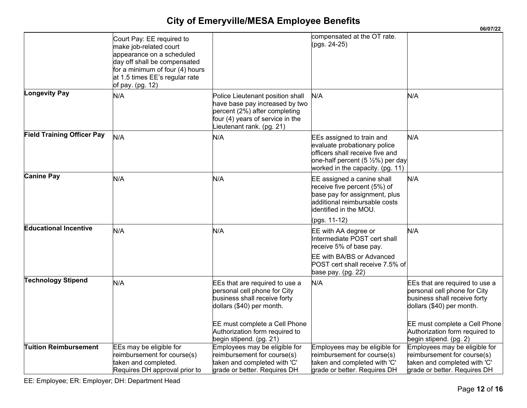|                                   |                                                                                                                                                                                                           |                                                                                                                                                                                                                           |                                                                                                                                                                                  | 06/07/22                                                                                                                                                                                                                 |
|-----------------------------------|-----------------------------------------------------------------------------------------------------------------------------------------------------------------------------------------------------------|---------------------------------------------------------------------------------------------------------------------------------------------------------------------------------------------------------------------------|----------------------------------------------------------------------------------------------------------------------------------------------------------------------------------|--------------------------------------------------------------------------------------------------------------------------------------------------------------------------------------------------------------------------|
|                                   | Court Pay: EE required to<br>make job-related court<br>appearance on a scheduled<br>day off shall be compensated<br>for a minimum of four (4) hours<br>at 1.5 times EE's regular rate<br>of pay. (pg. 12) |                                                                                                                                                                                                                           | compensated at the OT rate.<br>(pgs. 24-25)                                                                                                                                      |                                                                                                                                                                                                                          |
| <b>Longevity Pay</b>              | N/A                                                                                                                                                                                                       | Police Lieutenant position shall<br>have base pay increased by two<br>percent (2%) after completing<br>four (4) years of service in the<br>ieutenant rank. (pg. 21)                                                       | N/A                                                                                                                                                                              | N/A                                                                                                                                                                                                                      |
| <b>Field Training Officer Pay</b> | N/A                                                                                                                                                                                                       | N/A                                                                                                                                                                                                                       | EEs assigned to train and<br>evaluate probationary police<br>officers shall receive five and<br>one-half percent $(5 \frac{1}{2}\%)$ per day<br>worked in the capacity. (pg. 11) | N/A                                                                                                                                                                                                                      |
| <b>Canine Pay</b>                 | N/A                                                                                                                                                                                                       | N/A                                                                                                                                                                                                                       | EE assigned a canine shall<br>receive five percent (5%) of<br>base pay for assignment, plus<br>additional reimbursable costs<br>identified in the MOU.<br>(pgs. 11-12)           | N/A                                                                                                                                                                                                                      |
| <b>Educational Incentive</b>      | N/A                                                                                                                                                                                                       | N/A                                                                                                                                                                                                                       | EE with AA degree or<br>Intermediate POST cert shall<br>receive 5% of base pay.<br>EE with BA/BS or Advanced<br>POST cert shall receive 7.5% of<br>base pay. (pg. 22)            | N/A                                                                                                                                                                                                                      |
| <b>Technology Stipend</b>         | N/A                                                                                                                                                                                                       | EEs that are required to use a<br>personal cell phone for City<br>business shall receive forty<br>dollars (\$40) per month.<br>EE must complete a Cell Phone<br>Authorization form required to<br>begin stipend. (pg. 21) | N/A                                                                                                                                                                              | EEs that are required to use a<br>personal cell phone for City<br>business shall receive forty<br>dollars (\$40) per month.<br>EE must complete a Cell Phone<br>Authorization form required to<br>begin stipend. (pg. 2) |
| <b>Tuition Reimbursement</b>      | EEs may be eligible for<br>reimbursement for course(s)<br>taken and completed.<br>Requires DH approval prior to                                                                                           | Employees may be eligible for<br>reimbursement for course(s)<br>taken and completed with 'C'<br>grade or better. Requires DH                                                                                              | Employees may be eligible for<br>reimbursement for course(s)<br>taken and completed with 'C'<br>grade or better. Requires DH                                                     | Employees may be eligible for<br>reimbursement for course(s)<br>taken and completed with 'C'<br>grade or better. Requires DH                                                                                             |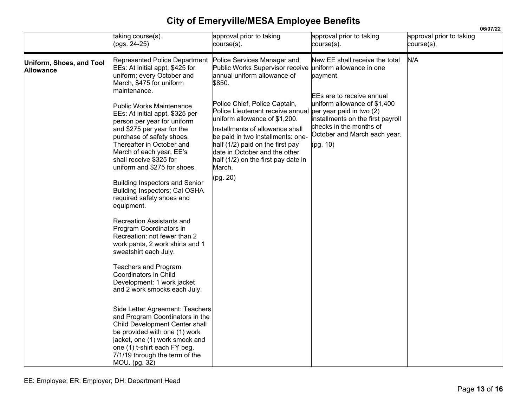|                                              |                                                                                                                                                                                                                                                                                                                                                                                                                                                                                                                                                                                                                                                                                                                                                                                                                                                                                                                                                                                                                                                                               |                                                                                                                                                                                                                                                                                                                                                                                                                                                                           |                                                                                                                                                                                                                             | 06/07/22                               |  |
|----------------------------------------------|-------------------------------------------------------------------------------------------------------------------------------------------------------------------------------------------------------------------------------------------------------------------------------------------------------------------------------------------------------------------------------------------------------------------------------------------------------------------------------------------------------------------------------------------------------------------------------------------------------------------------------------------------------------------------------------------------------------------------------------------------------------------------------------------------------------------------------------------------------------------------------------------------------------------------------------------------------------------------------------------------------------------------------------------------------------------------------|---------------------------------------------------------------------------------------------------------------------------------------------------------------------------------------------------------------------------------------------------------------------------------------------------------------------------------------------------------------------------------------------------------------------------------------------------------------------------|-----------------------------------------------------------------------------------------------------------------------------------------------------------------------------------------------------------------------------|----------------------------------------|--|
|                                              | taking course(s).<br>pgs. 24-25)                                                                                                                                                                                                                                                                                                                                                                                                                                                                                                                                                                                                                                                                                                                                                                                                                                                                                                                                                                                                                                              | approval prior to taking<br>course(s).                                                                                                                                                                                                                                                                                                                                                                                                                                    | approval prior to taking<br>course(s).                                                                                                                                                                                      | approval prior to taking<br>course(s). |  |
| Uniform, Shoes, and Tool<br><b>Allowance</b> | Represented Police Department<br>EEs: At initial appt, \$425 for<br>uniform; every October and<br>March, \$475 for uniform<br>maintenance.<br>Public Works Maintenance<br>EEs: At initial appt, \$325 per<br>person per year for uniform<br>and \$275 per year for the<br>purchase of safety shoes.<br>Thereafter in October and<br>March of each year, EE's<br>shall receive \$325 for<br>uniform and \$275 for shoes.<br>Building Inspectors and Senior<br>Building Inspectors; Cal OSHA<br>required safety shoes and<br>equipment.<br>Recreation Assistants and<br>Program Coordinators in<br>Recreation: not fewer than 2<br>work pants, 2 work shirts and 1<br>sweatshirt each July.<br><b>Teachers and Program</b><br>Coordinators in Child<br>Development: 1 work jacket<br>and 2 work smocks each July.<br>Side Letter Agreement: Teachers<br>and Program Coordinators in the<br>Child Development Center shall<br>be provided with one (1) work<br>jacket, one (1) work smock and<br>one (1) t-shirt each FY beg.<br>7/1/19 through the term of the<br>MOU. (pg. 32) | Police Services Manager and<br>Public Works Supervisor receive uniform allowance in one<br>annual uniform allowance of<br>\$850.<br>Police Chief, Police Captain,<br>Police Lieutenant receive annual per year paid in two (2)<br>uniform allowance of \$1,200.<br>Installments of allowance shall<br>be paid in two installments: one-<br>half (1/2) paid on the first pay<br>date in October and the other<br>half (1/2) on the first pay date in<br>March.<br>(pg. 20) | New EE shall receive the total<br>payment.<br><b>IEEs are to receive annual</b><br>uniform allowance of \$1,400<br>installments on the first payroll<br>checks in the months of<br>October and March each year.<br>(pg. 10) | N/A                                    |  |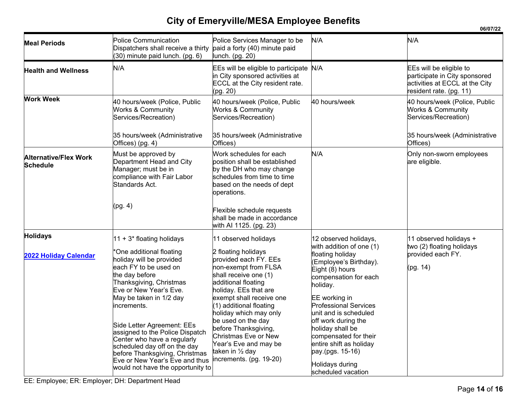|                                                 |                                                                                                                                                                                                                                                                                                                                                                                                                                         |                                                                                                                                                                                                                                                                                                                                                                                   |                                                                                                                                                                                                                                                                                                                                                                      | 06/07/22                                                                                                              |
|-------------------------------------------------|-----------------------------------------------------------------------------------------------------------------------------------------------------------------------------------------------------------------------------------------------------------------------------------------------------------------------------------------------------------------------------------------------------------------------------------------|-----------------------------------------------------------------------------------------------------------------------------------------------------------------------------------------------------------------------------------------------------------------------------------------------------------------------------------------------------------------------------------|----------------------------------------------------------------------------------------------------------------------------------------------------------------------------------------------------------------------------------------------------------------------------------------------------------------------------------------------------------------------|-----------------------------------------------------------------------------------------------------------------------|
| <b>Meal Periods</b>                             | <b>Police Communication</b><br>Dispatchers shall receive a thirty<br>(30) minute paid lunch. (pg. 6)                                                                                                                                                                                                                                                                                                                                    | Police Services Manager to be<br>paid a forty (40) minute paid<br>lunch. (pg. 20)                                                                                                                                                                                                                                                                                                 | N/A                                                                                                                                                                                                                                                                                                                                                                  | N/A                                                                                                                   |
| <b>Health and Wellness</b>                      | N/A                                                                                                                                                                                                                                                                                                                                                                                                                                     | EEs will be eligible to participate<br>in City sponsored activities at<br>ECCL at the City resident rate.<br>(pg. 20)                                                                                                                                                                                                                                                             | N/A                                                                                                                                                                                                                                                                                                                                                                  | EEs will be eligible to<br>participate in City sponsored<br>activities at ECCL at the City<br>resident rate. (pg. 11) |
| <b>Work Week</b>                                | 40 hours/week (Police, Public<br><b>Works &amp; Community</b><br>Services/Recreation)                                                                                                                                                                                                                                                                                                                                                   | 40 hours/week (Police, Public<br><b>Works &amp; Community</b><br>Services/Recreation)                                                                                                                                                                                                                                                                                             | 40 hours/week                                                                                                                                                                                                                                                                                                                                                        | 40 hours/week (Police, Public<br><b>Works &amp; Community</b><br>Services/Recreation)                                 |
|                                                 | 35 hours/week (Administrative<br>Offices) (pg. 4)                                                                                                                                                                                                                                                                                                                                                                                       | 35 hours/week (Administrative<br>Offices)                                                                                                                                                                                                                                                                                                                                         |                                                                                                                                                                                                                                                                                                                                                                      | 35 hours/week (Administrative<br>Offices)                                                                             |
| <b>Alternative/Flex Work</b><br><b>Schedule</b> | Must be approved by<br>Department Head and City<br>Manager; must be in<br>compliance with Fair Labor<br>Standards Act.                                                                                                                                                                                                                                                                                                                  | Work schedules for each<br>position shall be established<br>by the DH who may change<br>schedules from time to time<br>based on the needs of dept<br>operations.                                                                                                                                                                                                                  | N/A                                                                                                                                                                                                                                                                                                                                                                  | Only non-sworn employees<br>are eligible.                                                                             |
|                                                 | (pg. 4)                                                                                                                                                                                                                                                                                                                                                                                                                                 | Flexible schedule requests<br>shall be made in accordance<br>with AI 1125. (pg. 23)                                                                                                                                                                                                                                                                                               |                                                                                                                                                                                                                                                                                                                                                                      |                                                                                                                       |
| <b>Holidays</b>                                 | 11 + 3* floating holidays                                                                                                                                                                                                                                                                                                                                                                                                               | 11 observed holidays                                                                                                                                                                                                                                                                                                                                                              | 12 observed holidays,                                                                                                                                                                                                                                                                                                                                                | 11 observed holidays +                                                                                                |
| 2022 Holiday Calendar                           | *One additional floating<br>holiday will be provided<br>each FY to be used on<br>the day before<br>Thanksgiving, Christmas<br>Eve or New Year's Eve.<br>May be taken in 1/2 day<br>increments.<br>Side Letter Agreement: EEs<br>assigned to the Police Dispatch<br>Center who have a regularly<br>scheduled day off on the day<br>before Thanksgiving, Christmas<br>Eve or New Year's Eve and thus<br>would not have the opportunity to | 2 floating holidays<br>provided each FY. EEs<br>non-exempt from FLSA<br>shall receive one (1)<br>additional floating<br>holiday. EEs that are<br>exempt shall receive one<br>(1) additional floating<br>holiday which may only<br>be used on the day<br>before Thanksgiving,<br><b>Christmas Eve or New</b><br>Year's Eve and may be<br>taken in ½ day<br>increments. (pg. 19-20) | with addition of one (1)<br>floating holiday<br>(Employee's Birthday).<br>Eight (8) hours<br>compensation for each<br>holiday.<br>EE working in<br><b>Professional Services</b><br>unit and is scheduled<br>off work during the<br>holiday shall be<br>compensated for their<br>entire shift as holiday<br>pay.(pgs. 15-16)<br>Holidays during<br>scheduled vacation | two (2) floating holidays<br>provided each FY.<br>(pg. 14)                                                            |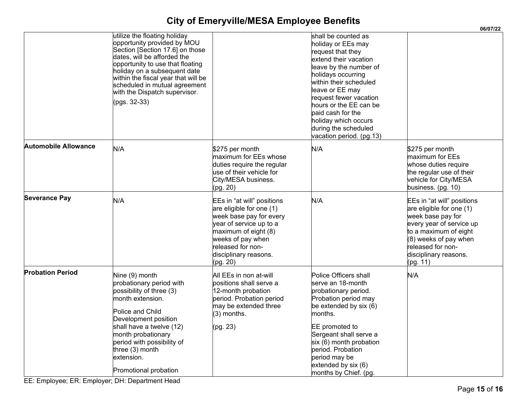|                             |                                                                                                                                                                                                                                                                                                                            |                                                                                                                                                                                                                     |                                                                                                                                                                                                                                                                                                                                           | 06/07/22                                                                                                                                                                                                              |
|-----------------------------|----------------------------------------------------------------------------------------------------------------------------------------------------------------------------------------------------------------------------------------------------------------------------------------------------------------------------|---------------------------------------------------------------------------------------------------------------------------------------------------------------------------------------------------------------------|-------------------------------------------------------------------------------------------------------------------------------------------------------------------------------------------------------------------------------------------------------------------------------------------------------------------------------------------|-----------------------------------------------------------------------------------------------------------------------------------------------------------------------------------------------------------------------|
|                             | utilize the floating holiday<br>opportunity provided by MOU<br>Section [Section 17.6] on those<br>dates, will be afforded the<br>opportunity to use that floating<br>holiday on a subsequent date<br>within the fiscal year that will be<br>scheduled in mutual agreement<br>with the Dispatch supervisor.<br>(pgs. 32-33) |                                                                                                                                                                                                                     | shall be counted as<br>holiday or EEs may<br>request that they<br>extend their vacation<br>leave by the number of<br>holidays occurring<br>within their scheduled<br>leave or EE may<br>request fewer vacation<br>hours or the EE can be<br>paid cash for the<br>holiday which occurs<br>during the scheduled<br>vacation period. (pg.13) |                                                                                                                                                                                                                       |
| <b>Automobile Allowance</b> | N/A                                                                                                                                                                                                                                                                                                                        | \$275 per month<br>maximum for EEs whose<br>duties require the regular<br>use of their vehicle for<br>City/MESA business.<br>(pg. 20)                                                                               | N/A                                                                                                                                                                                                                                                                                                                                       | \$275 per month<br>maximum for EEs<br>whose duties require<br>the regular use of their<br>vehicle for City/MESA<br>business. (pg. 10)                                                                                 |
| <b>Severance Pay</b>        | N/A                                                                                                                                                                                                                                                                                                                        | EEs in "at will" positions<br>are eligible for one (1)<br>week base pay for every<br>year of service up to a<br>maximum of eight (8)<br>weeks of pay when<br>released for non-<br>disciplinary reasons.<br>(pg. 20) | N/A                                                                                                                                                                                                                                                                                                                                       | EEs in "at will" positions<br>are eligible for one (1)<br>week base pay for<br>every year of service up<br>to a maximum of eight<br>$(8)$ weeks of pay when<br>released for non-<br>disciplinary reasons.<br>(pg. 11) |
| <b>Probation Period</b>     | Nine (9) month<br>probationary period with<br>possibility of three (3)<br>month extension.<br>Police and Child<br>Development position<br>shall have a twelve (12)<br>month probationary<br>period with possibility of<br>three $(3)$ month<br>extension.<br>Promotional probation                                         | All EEs in non at-will<br>positions shall serve a<br>12-month probation<br>period. Probation period<br>may be extended three<br>$(3)$ months.<br>(pg. 23)                                                           | Police Officers shall<br>serve an 18-month<br>probationary period.<br>Probation period may<br>be extended by six (6)<br>months.<br>EE promoted to<br>Sergeant shall serve a<br>six (6) month probation<br>period. Probation<br>period may be<br>extended by six (6)<br>months by Chief. (pg.                                              | N/A                                                                                                                                                                                                                   |